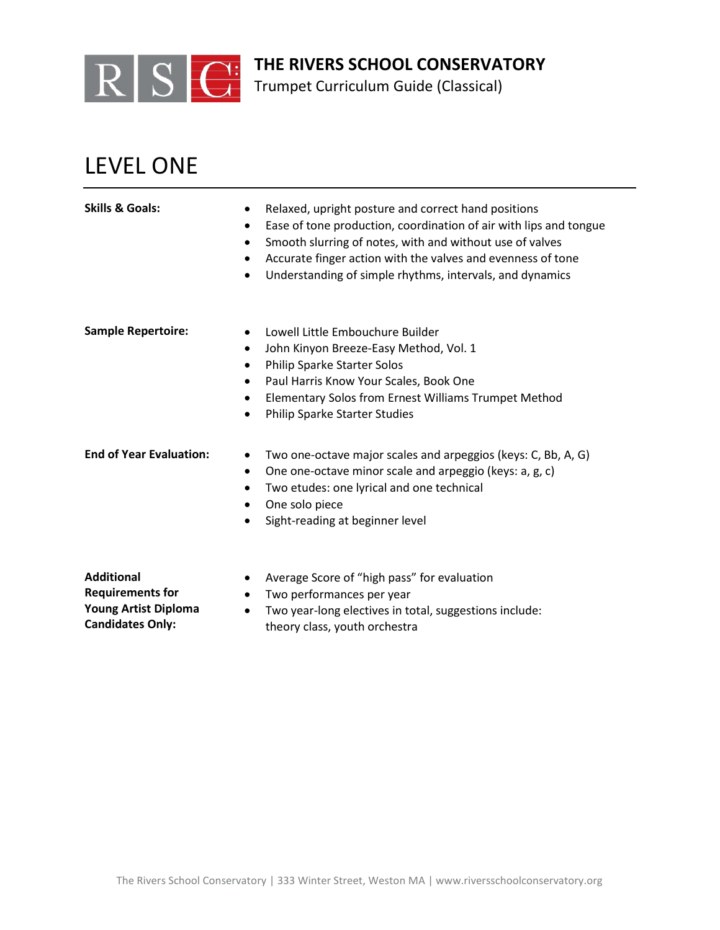

Trumpet Curriculum Guide (Classical)

## LEVEL ONE

| <b>Skills &amp; Goals:</b>                   | Relaxed, upright posture and correct hand positions<br>٠<br>Ease of tone production, coordination of air with lips and tongue<br>$\bullet$<br>Smooth slurring of notes, with and without use of valves<br>٠<br>Accurate finger action with the valves and evenness of tone<br>٠<br>Understanding of simple rhythms, intervals, and dynamics<br>$\bullet$ |
|----------------------------------------------|----------------------------------------------------------------------------------------------------------------------------------------------------------------------------------------------------------------------------------------------------------------------------------------------------------------------------------------------------------|
| <b>Sample Repertoire:</b>                    | Lowell Little Embouchure Builder<br>John Kinyon Breeze-Easy Method, Vol. 1<br>$\bullet$<br>Philip Sparke Starter Solos<br>٠<br>Paul Harris Know Your Scales, Book One<br>٠<br>Elementary Solos from Ernest Williams Trumpet Method<br>Philip Sparke Starter Studies<br>$\bullet$                                                                         |
| <b>End of Year Evaluation:</b>               | Two one-octave major scales and arpeggios (keys: C, Bb, A, G)<br>One one-octave minor scale and arpeggio (keys: a, g, c)<br>$\bullet$<br>Two etudes: one lyrical and one technical<br>$\bullet$<br>One solo piece<br>$\bullet$<br>Sight-reading at beginner level                                                                                        |
| <b>Additional</b><br><b>Requirements for</b> | Average Score of "high pass" for evaluation<br>Two performances per year                                                                                                                                                                                                                                                                                 |

- **Requirements for Young Artist Diploma Candidates Only:**
- Two year-long electives in total, suggestions include: theory class, youth orchestra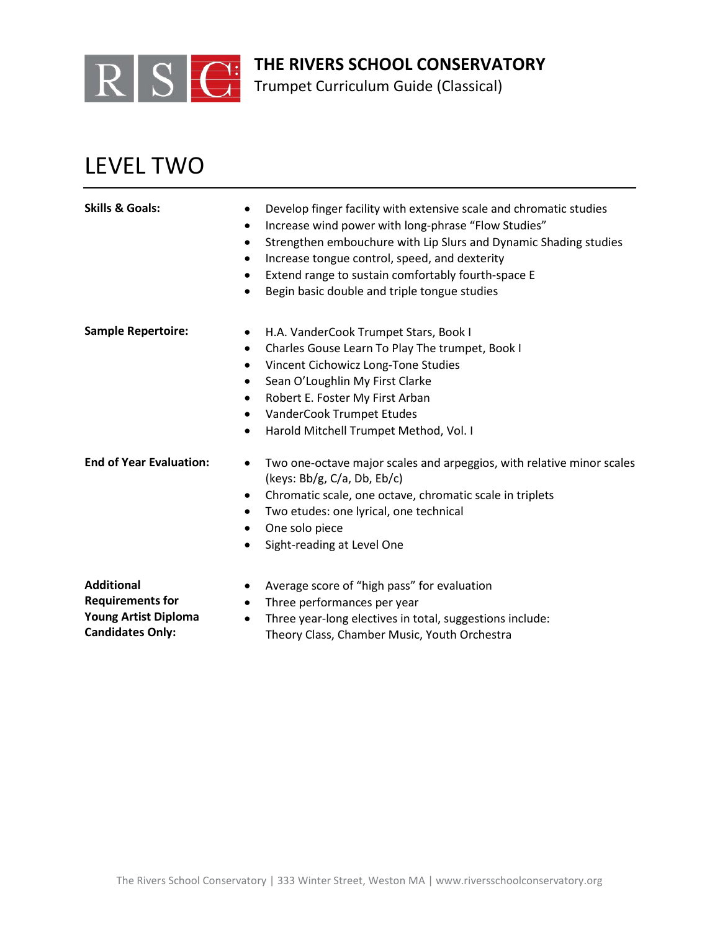

Trumpet Curriculum Guide (Classical)

## LEVEL TWO

| <b>Skills &amp; Goals:</b>                   | Develop finger facility with extensive scale and chromatic studies<br>$\bullet$<br>Increase wind power with long-phrase "Flow Studies"<br>$\bullet$<br>Strengthen embouchure with Lip Slurs and Dynamic Shading studies<br>$\bullet$<br>Increase tongue control, speed, and dexterity<br>$\bullet$<br>Extend range to sustain comfortably fourth-space E<br>$\bullet$<br>Begin basic double and triple tongue studies<br>$\bullet$ |
|----------------------------------------------|------------------------------------------------------------------------------------------------------------------------------------------------------------------------------------------------------------------------------------------------------------------------------------------------------------------------------------------------------------------------------------------------------------------------------------|
| <b>Sample Repertoire:</b>                    | H.A. VanderCook Trumpet Stars, Book I<br>$\bullet$<br>Charles Gouse Learn To Play The trumpet, Book I<br>$\bullet$<br>Vincent Cichowicz Long-Tone Studies<br>$\bullet$<br>Sean O'Loughlin My First Clarke<br>$\bullet$<br>Robert E. Foster My First Arban<br>$\bullet$<br>VanderCook Trumpet Etudes<br>$\bullet$<br>Harold Mitchell Trumpet Method, Vol. I<br>$\bullet$                                                            |
| <b>End of Year Evaluation:</b>               | Two one-octave major scales and arpeggios, with relative minor scales<br>$\bullet$<br>(keys: $Bb/g$ , $C/a$ , $Db$ , $Eb/c$ )<br>Chromatic scale, one octave, chromatic scale in triplets<br>$\bullet$<br>Two etudes: one lyrical, one technical<br>One solo piece<br>$\bullet$<br>Sight-reading at Level One                                                                                                                      |
| <b>Additional</b><br><b>Requirements for</b> | Average score of "high pass" for evaluation<br>Three performances per year<br>$\bullet$                                                                                                                                                                                                                                                                                                                                            |

• Three year-long electives in total, suggestions include: Theory Class, Chamber Music, Youth Orchestra

**Young Artist Diploma Candidates Only:**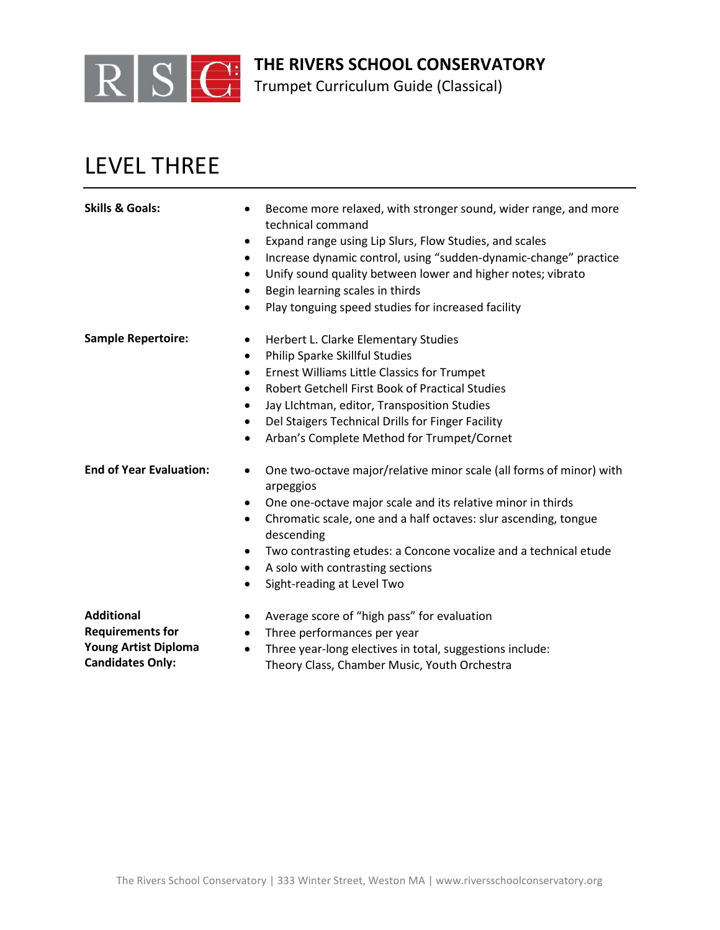

Trumpet Curriculum Guide (Classical)

## LEVEL THREE

| <b>Skills &amp; Goals:</b>     | Become more relaxed, with stronger sound, wider range, and more<br>$\bullet$<br>technical command |
|--------------------------------|---------------------------------------------------------------------------------------------------|
|                                | Expand range using Lip Slurs, Flow Studies, and scales<br>$\bullet$                               |
|                                | Increase dynamic control, using "sudden-dynamic-change" practice<br>$\bullet$                     |
|                                | Unify sound quality between lower and higher notes; vibrato<br>$\bullet$                          |
|                                | Begin learning scales in thirds<br>$\bullet$                                                      |
|                                | Play tonguing speed studies for increased facility<br>$\bullet$                                   |
| <b>Sample Repertoire:</b>      | Herbert L. Clarke Elementary Studies<br>$\bullet$                                                 |
|                                | Philip Sparke Skillful Studies<br>$\bullet$                                                       |
|                                | <b>Ernest Williams Little Classics for Trumpet</b><br>$\bullet$                                   |
|                                | <b>Robert Getchell First Book of Practical Studies</b><br>$\bullet$                               |
|                                | Jay Lichtman, editor, Transposition Studies<br>$\bullet$                                          |
|                                | Del Staigers Technical Drills for Finger Facility<br>$\bullet$                                    |
|                                | Arban's Complete Method for Trumpet/Cornet<br>$\bullet$                                           |
| <b>End of Year Evaluation:</b> | One two-octave major/relative minor scale (all forms of minor) with<br>arpeggios                  |
|                                | One one-octave major scale and its relative minor in thirds<br>$\bullet$                          |
|                                | Chromatic scale, one and a half octaves: slur ascending, tongue<br>$\bullet$<br>descending        |
|                                | Two contrasting etudes: a Concone vocalize and a technical etude<br>$\bullet$                     |
|                                | A solo with contrasting sections<br>$\bullet$                                                     |
|                                | Sight-reading at Level Two                                                                        |
| .                              | $\mathbf{r}$ $\mathbf{u}$ $\mathbf{v}$ $\mathbf{u}$ $\mathbf{r}$                                  |

**Additional Requirements for Young Artist Diploma Candidates Only:**

- Average score of "high pass" for evaluation
- Three performances per year
- Three year-long electives in total, suggestions include: Theory Class, Chamber Music, Youth Orchestra